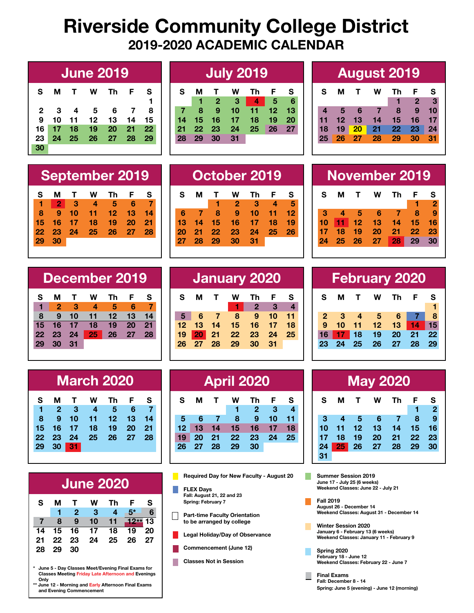# **Riverside Community College District 2019-2020 ACADEMIC CALENDAR**

| <b>June 2019</b> |              |                         |                |      |     |     |  |  |
|------------------|--------------|-------------------------|----------------|------|-----|-----|--|--|
| S                | м            | $\mathbf{T}$            | <b>W</b>       | - Th | - F | S   |  |  |
|                  |              |                         |                |      |     | 1   |  |  |
| 2                | $\mathbf{3}$ | $\overline{\mathbf{4}}$ | - 5            | 6    | - 7 | 8   |  |  |
| 9                | 10           | $11 \quad 12$           |                | 13   | -14 | 15  |  |  |
| 16 I             | $17$ 18      |                         | - 19           | -20  | 21  | -22 |  |  |
| 23               | -24          | $-25$                   | $\frac{26}{ }$ | - 27 | -28 | 29  |  |  |
| 30               |              |                         |                |      |     |     |  |  |

# **June 2019 July 2019 August 2019**

| S  | м     | $\mathbf{T}$   | W                        | Th              | F.              | S  |
|----|-------|----------------|--------------------------|-----------------|-----------------|----|
|    |       | $\overline{2}$ | - 3                      |                 | 5               | 6  |
|    | 8     | $\overline{9}$ | 10                       | 11 <sub>7</sub> | 12 <sub>l</sub> | 13 |
| 14 | 15    | 16             | $\overline{\mathbf{17}}$ | -18             | 19              | 20 |
| 21 | 22 23 |                | - 24                     | 25              | <b>26</b>       | 27 |
| 28 | 29    | -30            | 31                       |                 |                 |    |

**S M T W Th F S**

**6 7 8 9 10 11 12 13 14 15 16 17 18 19 20 21 22 23 24 25 26**

**27 28 29 30 31**

**1 2 3 4 5**

|                |            |     | <b>August 2019</b> |                 |                 |    |
|----------------|------------|-----|--------------------|-----------------|-----------------|----|
| $\mathbf{s}$   |            | M T | W                  | Τh              | F.              | S  |
|                |            |     |                    | V.              | $\mathbf{2}$    | 3  |
| $\overline{4}$ | $\sqrt{5}$ | 6   | $\blacksquare$     |                 | $8 \quad 9$     | 10 |
|                | 11 12 13   |     | 14                 | 15              | 16              | 17 |
| 18             | 19 20      |     | 21                 | 22              | 23              | 24 |
|                |            |     |                    | 29 <sub>2</sub> | 30 <sup>°</sup> | 31 |

#### **September 2019 October 2019 November 2019 S M T W Th F S 1 2 3 4 5 6 7 8 9 10 11 12 13 14 15 16 17 18 19 20 21 22 23 24 25 26 27 28 29 30**

|              | <b>February 2020</b> |              |          |      |                   |    |  |  |  |  |  |
|--------------|----------------------|--------------|----------|------|-------------------|----|--|--|--|--|--|
| S.           | м                    | $\mathbf{T}$ | <b>W</b> | Th   | - F               | S  |  |  |  |  |  |
|              |                      |              |          |      |                   |    |  |  |  |  |  |
| $\mathbf{2}$ | - 3                  | - 4          | - 5      | 6    |                   | 8  |  |  |  |  |  |
| 9            | 10                   | - 11         | 12       | - 13 | $\blacksquare$ 14 | 15 |  |  |  |  |  |
| 16           | $17-$                | $\vert$ 18   | -19      | 20   | 21                | 22 |  |  |  |  |  |
| 23           | 24                   | $-25$        | -26      | - 27 | 28                | 29 |  |  |  |  |  |
|              |                      |              |          |      |                   |    |  |  |  |  |  |

| <b>May 2020</b> |       |                 |           |                |     |                |  |  |  |
|-----------------|-------|-----------------|-----------|----------------|-----|----------------|--|--|--|
| S               | м     | $\mathbf{T}$    | W         | Th             | - F | S              |  |  |  |
|                 |       |                 |           |                |     | $\overline{2}$ |  |  |  |
| 3               | -4    | $\blacklozenge$ | 6         | $\blacksquare$ | 8   | -9             |  |  |  |
| 10              | 11    | $12 \,$         | 13        | 14             | 15  | 16             |  |  |  |
| 17              | 18    | 19              | <b>20</b> | 21             | 22  | 23             |  |  |  |
| 24              | 25 26 |                 | 27        | 28             | 29  | 30             |  |  |  |
| 31              |       |                 |           |                |     |                |  |  |  |

**Summer Session 2019 June 17 - July 25 (6 weeks) Weekend Classes: June 22 - July 21**

ш

**Fall 2019 August 26 - December 14 Weekend Classes: August 31 - December 14**

**Winter Session 2020 January 6 - February 13 (6 weeks) Weekend Classes: January 11 - February 9**

**Spring 2020 February 18 - June 12 Weekend Classes: February 22 - June 7**

**Final Exams Fall: December 8 - 14 Spring: June 5 (evening) - June 12 (morning)**

| <b>September 2019</b> |  |  |  |                                                                         |  |  |  |  |  |  |  |
|-----------------------|--|--|--|-------------------------------------------------------------------------|--|--|--|--|--|--|--|
|                       |  |  |  | SMTWThFS                                                                |  |  |  |  |  |  |  |
|                       |  |  |  | $\overline{a}$ and $\overline{a}$ and $\overline{a}$ and $\overline{a}$ |  |  |  |  |  |  |  |

 **2 3 4 5 6 7 9 10 11 12 13 14 16 17 18 19 20 21 23 24 25 26 27 28 29 30**

| December 2019 |    |    |                        |    |    |    |  |  |  |
|---------------|----|----|------------------------|----|----|----|--|--|--|
| S             | м  | т  | w                      | Тh | F. | s  |  |  |  |
|               | 2  | з  | $\boldsymbol{\Lambda}$ | 5  | 6  |    |  |  |  |
| 8             | 9  | 10 | 11                     | 12 | 13 | 14 |  |  |  |
| 15            | 16 | 17 | 18                     | 19 | 20 | 21 |  |  |  |
| 22            | 23 | 24 | 25                     | 26 | 27 | 28 |  |  |  |
|               | 30 | 31 |                        |    |    |    |  |  |  |

|         |              |              | <b>March 2020</b> |       |     |      |
|---------|--------------|--------------|-------------------|-------|-----|------|
| S       | м            | $\mathbf{T}$ | W                 | Th    | - F | S    |
| 1       | $\mathbf{L}$ | -3           | $\overline{4}$    | - 5   | 6   | -7   |
| 8       | -9           | 10           | $-11$             | 12    | 13  | 14   |
| 15      |              | 16 17        | 18                | 19    | -20 | - 21 |
| $22 \,$ | 23 24        |              | - 25              | 26 27 |     | -28  |
| 29      | 30           | 31           |                   |       |     |      |

| <b>June 2020</b> |       |                |                         |                            |                            |              |  |  |  |
|------------------|-------|----------------|-------------------------|----------------------------|----------------------------|--------------|--|--|--|
| S.               | м     | $\mathbf{T}$   | <b>W</b>                | - Th                       | $\mathsf{F}$               | $\mathbf{s}$ |  |  |  |
|                  | ♦     | $\mathbf{2}$   | $\overline{\mathbf{3}}$ | $\overline{\phantom{0}}$ 4 | $5*$                       | 6            |  |  |  |
| $\mathbf{7}$     | 8     | $\overline{9}$ | 10 <sup>1</sup>         |                            | 11 $12**$ 13               |              |  |  |  |
|                  |       |                |                         |                            | 14 15 16 17 18 19 20       |              |  |  |  |
|                  |       |                |                         |                            | 21  22  23  24  25  26  27 |              |  |  |  |
|                  | 28 29 | -30            |                         |                            |                            |              |  |  |  |

**\* June 5 - Day Classes Meet/Evening Final Exams for Classes Meeting Friday Late Afternoon and Evenings Only**

June 12 - Morning and Early Afternoon Final Exams **and Evening Commencement**

| December 2019<br>January 2020 |    |    |    |    |    |  |    |    |    |    | <b>February 2020</b> |                 |      |    |    |                |                 |     |     |
|-------------------------------|----|----|----|----|----|--|----|----|----|----|----------------------|-----------------|------|----|----|----------------|-----------------|-----|-----|
| М                             |    | W  | Th | F. | -S |  | S  | М  |    | W  | Th.                  | - F             | - S  | S  | М  | т              | W               | Th. |     |
| 2                             | -3 | 4  | 5  |    |    |  |    |    |    |    | $\mathbf 2$          | 3               |      |    |    |                |                 |     |     |
| 9                             | 10 |    | 12 | 13 | 14 |  | 5  | 6  | 7  | 8  | 9                    | 10 <sup>1</sup> | - 11 |    | 3  | $\overline{4}$ | 5               |     | 6 7 |
| 16                            |    | 18 | 19 | 20 | 21 |  | 12 | 13 | 14 | 15 | 16                   |                 | 18   |    | 10 | 11             | 12 <sub>2</sub> | 13  |     |
| 23                            | 24 | 25 | 26 | 27 | 28 |  | 19 | 20 | 21 | 22 | <b>23</b>            | 24              | 25   |    |    | 18             | 19              | 20  | 21  |
| 30                            | 31 |    |    |    |    |  | 26 | 27 | 28 | 29 | 30                   | -31             |      | 23 | 24 | 25             | 26              | 27  | 28  |
|                               |    |    |    |    |    |  |    |    |    |    |                      |                 |      |    |    |                |                 |     |     |

| <b>March 2020</b> |                 |    |         |    |    |  | <b>April 2020</b> |    |    |    |    |    |    | <b>May 2020</b> |              |                 |    |       |  |
|-------------------|-----------------|----|---------|----|----|--|-------------------|----|----|----|----|----|----|-----------------|--------------|-----------------|----|-------|--|
| л                 |                 | W  | Th      |    | S  |  | S                 | М  |    | w  | Th | F. | -S | S               | M            |                 | W  | Th    |  |
| $\overline{2}$    | 3               | 4  | 5       | 6  |    |  |                   |    |    |    | 2  | З  |    |                 |              |                 |    |       |  |
| 9                 | 10              | 11 | $12 \,$ | 13 | 14 |  | 5                 | 6  |    | 8  | 9  | 10 |    |                 |              | 5               |    |       |  |
|                   | 6 17            | 18 | 19      | 20 | 21 |  | 12                |    | 14 | 15 | 16 |    | 18 | 10              | 11           | 12 <sub>l</sub> | 13 | $-14$ |  |
|                   | 3 <sup>24</sup> | 25 | 26      | 27 | 28 |  | 19                | 20 | 21 | 22 | 23 | 24 | 25 |                 | 18           | 19              | 20 | 21    |  |
| 0 I               | 31              |    |         |    |    |  | 26                | 27 | 28 | 29 | 30 |    |    | 24              | $25^{\circ}$ | 26              | 27 | 28    |  |
|                   |                 |    |         |    |    |  |                   |    |    |    |    |    |    | 31              |              |                 |    |       |  |

**Required Day for New Faculty - August 20**

**FLEX Days Fall: August 21, 22 and 23 Spring: February 7**

- **Part-time Faculty Orientation**   $\mathbf{L}$ **to be arranged by college**
- **Legal Holiday/Day of Observance**
- **Commencement (June 12)**
- **Classes Not in Session**